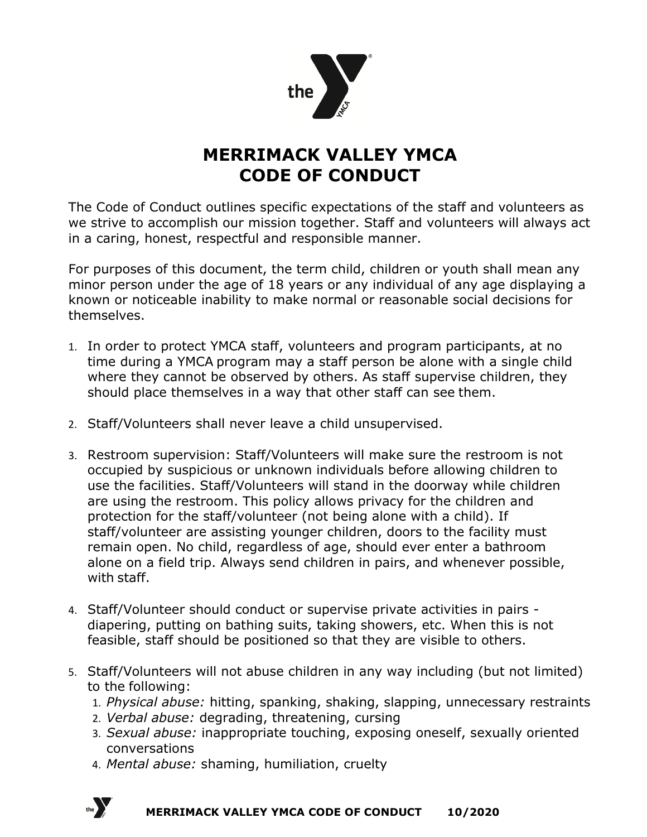

## **MERRIMACK VALLEY YMCA CODE OF CONDUCT**

The Code of Conduct outlines specific expectations of the staff and volunteers as we strive to accomplish our mission together. Staff and volunteers will always act in a caring, honest, respectful and responsible manner.

For purposes of this document, the term child, children or youth shall mean any minor person under the age of 18 years or any individual of any age displaying a known or noticeable inability to make normal or reasonable social decisions for themselves.

- 1. In order to protect YMCA staff, volunteers and program participants, at no time during a YMCA program may a staff person be alone with a single child where they cannot be observed by others. As staff supervise children, they should place themselves in a way that other staff can see them.
- 2. Staff/Volunteers shall never leave a child unsupervised.
- 3. Restroom supervision: Staff/Volunteers will make sure the restroom is not occupied by suspicious or unknown individuals before allowing children to use the facilities. Staff/Volunteers will stand in the doorway while children are using the restroom. This policy allows privacy for the children and protection for the staff/volunteer (not being alone with a child). If staff/volunteer are assisting younger children, doors to the facility must remain open. No child, regardless of age, should ever enter a bathroom alone on a field trip. Always send children in pairs, and whenever possible, with staff.
- 4. Staff/Volunteer should conduct or supervise private activities in pairs diapering, putting on bathing suits, taking showers, etc. When this is not feasible, staff should be positioned so that they are visible to others.
- 5. Staff/Volunteers will not abuse children in any way including (but not limited) to the following:
	- 1. *Physical abuse:* hitting, spanking, shaking, slapping, unnecessary restraints
	- 2. *Verbal abuse:* degrading, threatening, cursing
	- 3. *Sexual abuse:* inappropriate touching, exposing oneself, sexually oriented conversations
	- 4. *Mental abuse:* shaming, humiliation, cruelty

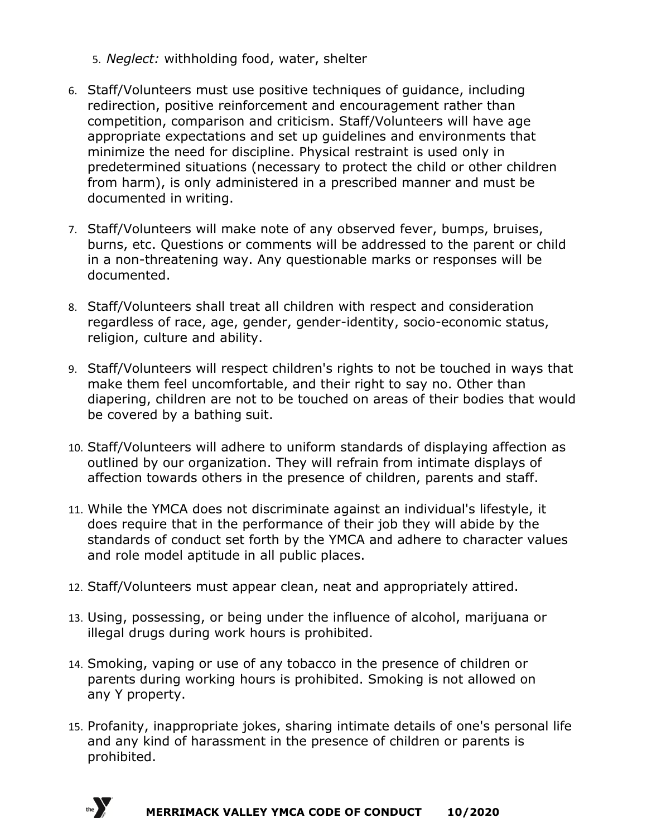- 5. *Neglect:* withholding food, water, shelter
- 6. Staff/Volunteers must use positive techniques of guidance, including redirection, positive reinforcement and encouragement rather than competition, comparison and criticism. Staff/Volunteers will have age appropriate expectations and set up guidelines and environments that minimize the need for discipline. Physical restraint is used only in predetermined situations (necessary to protect the child or other children from harm), is only administered in a prescribed manner and must be documented in writing.
- 7. Staff/Volunteers will make note of any observed fever, bumps, bruises, burns, etc. Questions or comments will be addressed to the parent or child in a non-threatening way. Any questionable marks or responses will be documented.
- 8. Staff/Volunteers shall treat all children with respect and consideration regardless of race, age, gender, gender-identity, socio-economic status, religion, culture and ability.
- 9. Staff/Volunteers will respect children's rights to not be touched in ways that make them feel uncomfortable, and their right to say no. Other than diapering, children are not to be touched on areas of their bodies that would be covered by a bathing suit.
- 10. Staff/Volunteers will adhere to uniform standards of displaying affection as outlined by our organization. They will refrain from intimate displays of affection towards others in the presence of children, parents and staff.
- 11. While the YMCA does not discriminate against an individual's lifestyle, it does require that in the performance of their job they will abide by the standards of conduct set forth by the YMCA and adhere to character values and role model aptitude in all public places.
- 12. Staff/Volunteers must appear clean, neat and appropriately attired.
- 13. Using, possessing, or being under the influence of alcohol, marijuana or illegal drugs during work hours is prohibited.
- 14. Smoking, vaping or use of any tobacco in the presence of children or parents during working hours is prohibited. Smoking is not allowed on any Y property.
- 15. Profanity, inappropriate jokes, sharing intimate details of one's personal life and any kind of harassment in the presence of children or parents is prohibited.

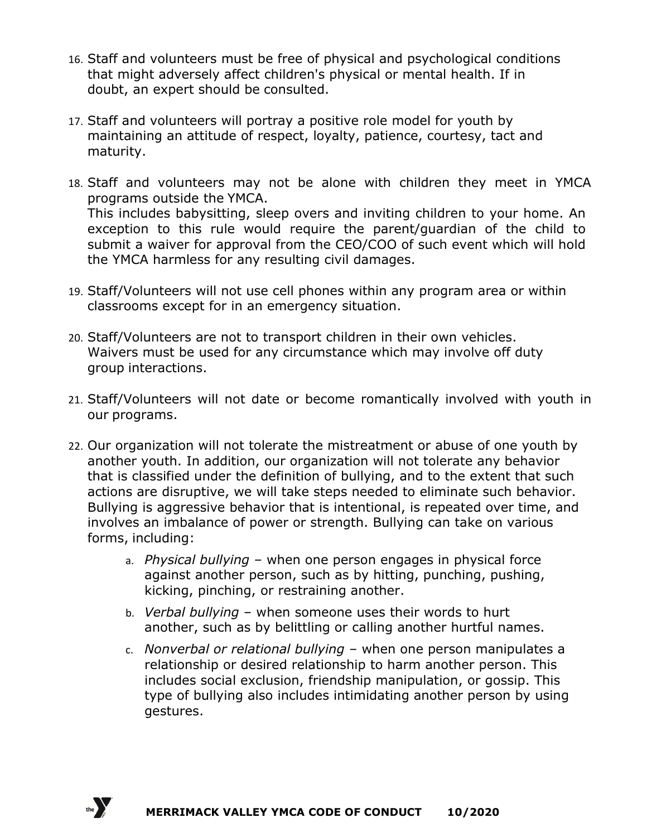- 16. Staff and volunteers must be free of physical and psychological conditions that might adversely affect children's physical or mental health. If in doubt, an expert should be consulted.
- 17. Staff and volunteers will portray a positive role model for youth by maintaining an attitude of respect, loyalty, patience, courtesy, tact and maturity.
- 18. Staff and volunteers may not be alone with children they meet in YMCA programs outside the YMCA. This includes babysitting, sleep overs and inviting children to your home. An exception to this rule would require the parent/guardian of the child to submit a waiver for approval from the CEO/COO of such event which will hold the YMCA harmless for any resulting civil damages.
- 19. Staff/Volunteers will not use cell phones within any program area or within classrooms except for in an emergency situation.
- 20. Staff/Volunteers are not to transport children in their own vehicles. Waivers must be used for any circumstance which may involve off duty group interactions.
- 21. Staff/Volunteers will not date or become romantically involved with youth in our programs.
- 22. Our organization will not tolerate the mistreatment or abuse of one youth by another youth. In addition, our organization will not tolerate any behavior that is classified under the definition of bullying, and to the extent that such actions are disruptive, we will take steps needed to eliminate such behavior. Bullying is aggressive behavior that is intentional, is repeated over time, and involves an imbalance of power or strength. Bullying can take on various forms, including:
	- a. *Physical bullying*  when one person engages in physical force against another person, such as by hitting, punching, pushing, kicking, pinching, or restraining another.
	- b. *Verbal bullying*  when someone uses their words to hurt another, such as by belittling or calling another hurtful names.
	- c. *Nonverbal or relational bullying*  when one person manipulates a relationship or desired relationship to harm another person. This includes social exclusion, friendship manipulation, or gossip. This type of bullying also includes intimidating another person by using gestures.



the  $\sum_{n=1}^{\infty}$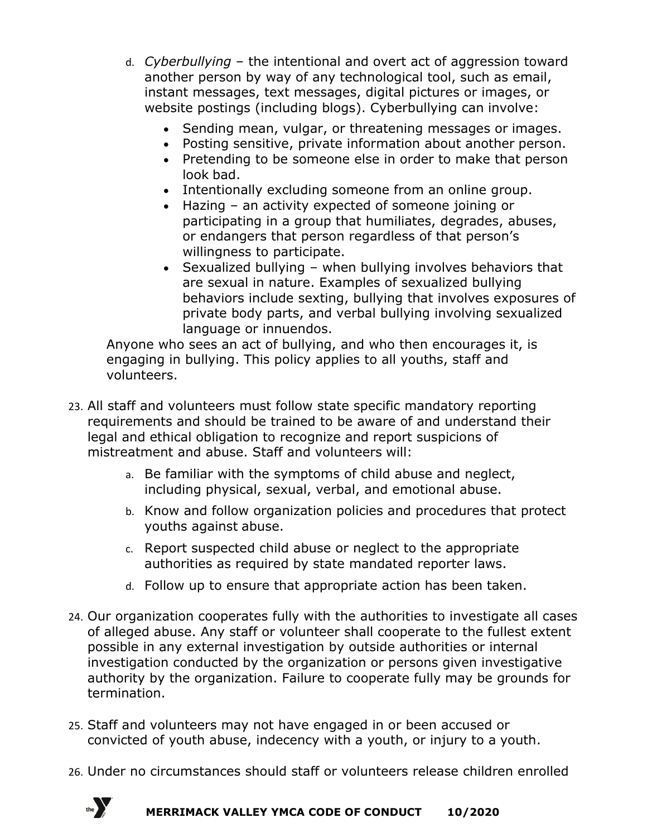- d. *Cyberbullying*  the intentional and overt act of aggression toward another person by way of any technological tool, such as email, instant messages, text messages, digital pictures or images, or website postings (including blogs). Cyberbullying can involve:
	- Sending mean, vulgar, or threatening messages or images.
	- Posting sensitive, private information about another person.
	- Pretending to be someone else in order to make that person look bad.
	- Intentionally excluding someone from an online group.
	- Hazing an activity expected of someone joining or participating in a group that humiliates, degrades, abuses, or endangers that person regardless of that person's willingness to participate.
	- Sexualized bullying when bullying involves behaviors that are sexual in nature. Examples of sexualized bullying behaviors include sexting, bullying that involves exposures of private body parts, and verbal bullying involving sexualized language or innuendos.

Anyone who sees an act of bullying, and who then encourages it, is engaging in bullying. This policy applies to all youths, staff and volunteers.

- 23. All staff and volunteers must follow state specific mandatory reporting requirements and should be trained to be aware of and understand their legal and ethical obligation to recognize and report suspicions of mistreatment and abuse. Staff and volunteers will:
	- a. Be familiar with the symptoms of child abuse and neglect, including physical, sexual, verbal, and emotional abuse.
	- b. Know and follow organization policies and procedures that protect youths against abuse.
	- c. Report suspected child abuse or neglect to the appropriate authorities as required by state mandated reporter laws.
	- d. Follow up to ensure that appropriate action has been taken.
- 24. Our organization cooperates fully with the authorities to investigate all cases of alleged abuse. Any staff or volunteer shall cooperate to the fullest extent possible in any external investigation by outside authorities or internal investigation conducted by the organization or persons given investigative authority by the organization. Failure to cooperate fully may be grounds for termination.
- 25. Staff and volunteers may not have engaged in or been accused or convicted of youth abuse, indecency with a youth, or injury to a youth.
- 26. Under no circumstances should staff or volunteers release children enrolled

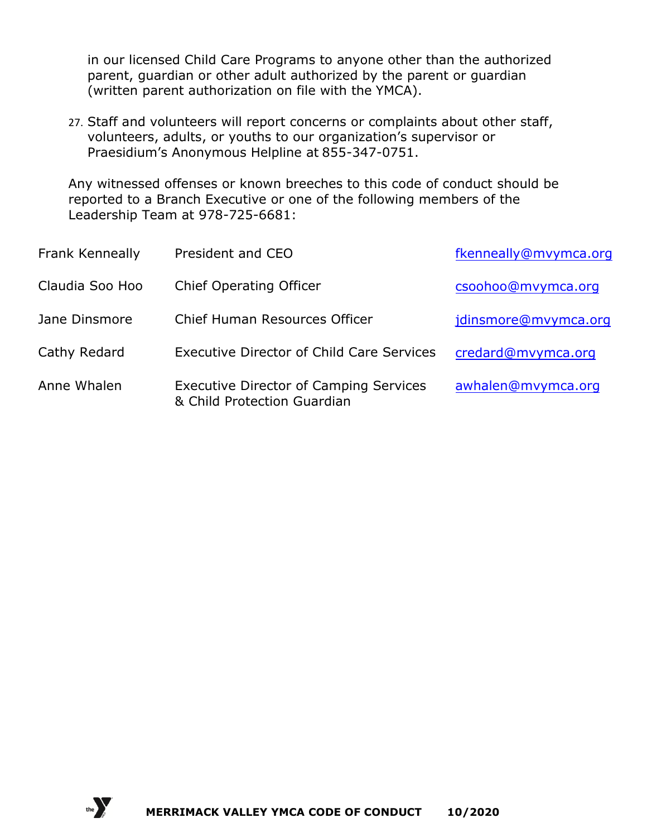in our licensed Child Care Programs to anyone other than the authorized parent, guardian or other adult authorized by the parent or guardian (written parent authorization on file with the YMCA).

27. Staff and volunteers will report concerns or complaints about other staff, volunteers, adults, or youths to our organization's supervisor or Praesidium's Anonymous Helpline at 855-347-0751.

Any witnessed offenses or known breeches to this code of conduct should be reported to a Branch Executive or one of the following members of the Leadership Team at 978-725-6681:

| <b>Frank Kenneally</b> | President and CEO                                                            | fkenneally@mvymca.org |
|------------------------|------------------------------------------------------------------------------|-----------------------|
| Claudia Soo Hoo        | <b>Chief Operating Officer</b>                                               | csoohoo@mvymca.org    |
| Jane Dinsmore          | Chief Human Resources Officer                                                | jdinsmore@mvymca.org  |
| Cathy Redard           | <b>Executive Director of Child Care Services</b>                             | credard@mvymca.org    |
| Anne Whalen            | <b>Executive Director of Camping Services</b><br>& Child Protection Guardian | awhalen@mvymca.org    |